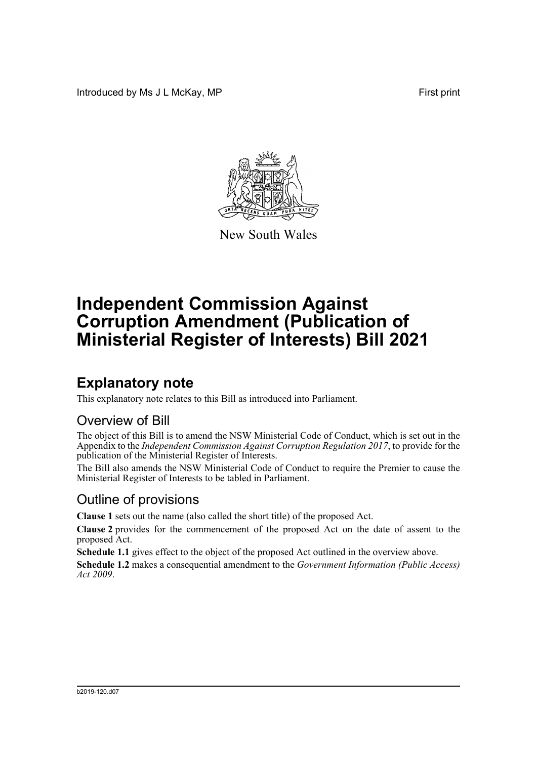Introduced by Ms J L McKay, MP **First** print



New South Wales

# **Independent Commission Against Corruption Amendment (Publication of Ministerial Register of Interests) Bill 2021**

## **Explanatory note**

This explanatory note relates to this Bill as introduced into Parliament.

#### Overview of Bill

The object of this Bill is to amend the NSW Ministerial Code of Conduct, which is set out in the Appendix to the *Independent Commission Against Corruption Regulation 2017*, to provide for the publication of the Ministerial Register of Interests.

The Bill also amends the NSW Ministerial Code of Conduct to require the Premier to cause the Ministerial Register of Interests to be tabled in Parliament.

#### Outline of provisions

**Clause 1** sets out the name (also called the short title) of the proposed Act.

**Clause 2** provides for the commencement of the proposed Act on the date of assent to the proposed Act.

**Schedule 1.1** gives effect to the object of the proposed Act outlined in the overview above.

**Schedule 1.2** makes a consequential amendment to the *Government Information (Public Access) Act 2009*.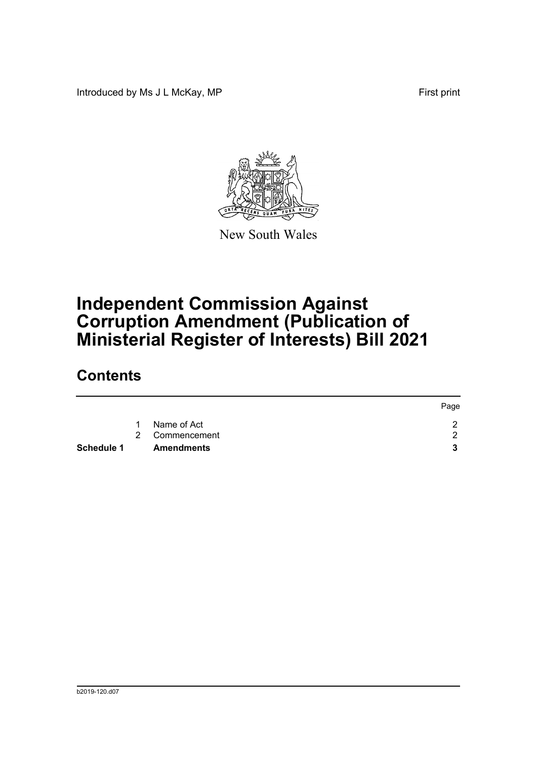Introduced by Ms J L McKay, MP **First** print



New South Wales

# **Independent Commission Against Corruption Amendment (Publication of Ministerial Register of Interests) Bill 2021**

### **Contents**

|            |             |                   | Page |
|------------|-------------|-------------------|------|
|            | $\mathbf 1$ | Name of Act       |      |
|            |             | 2 Commencement    | ົ    |
| Schedule 1 |             | <b>Amendments</b> | 2    |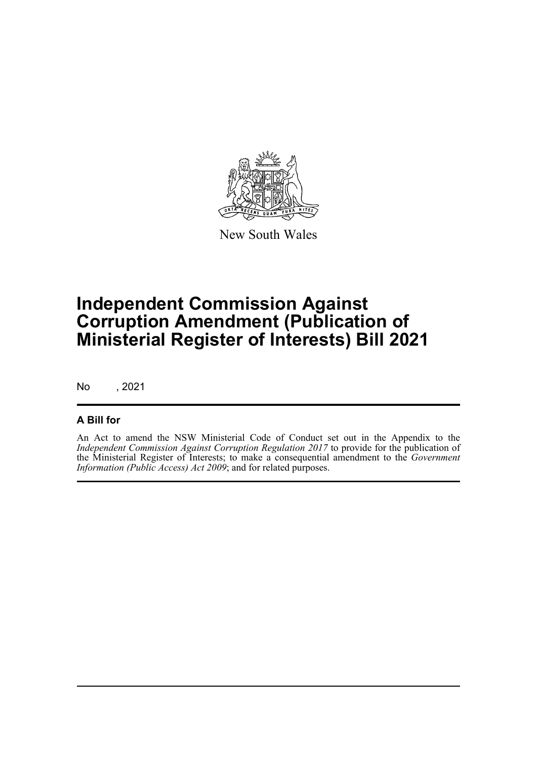

New South Wales

# **Independent Commission Against Corruption Amendment (Publication of Ministerial Register of Interests) Bill 2021**

No , 2021

#### **A Bill for**

An Act to amend the NSW Ministerial Code of Conduct set out in the Appendix to the *Independent Commission Against Corruption Regulation 2017* to provide for the publication of the Ministerial Register of Interests; to make a consequential amendment to the *Government Information (Public Access) Act 2009*; and for related purposes.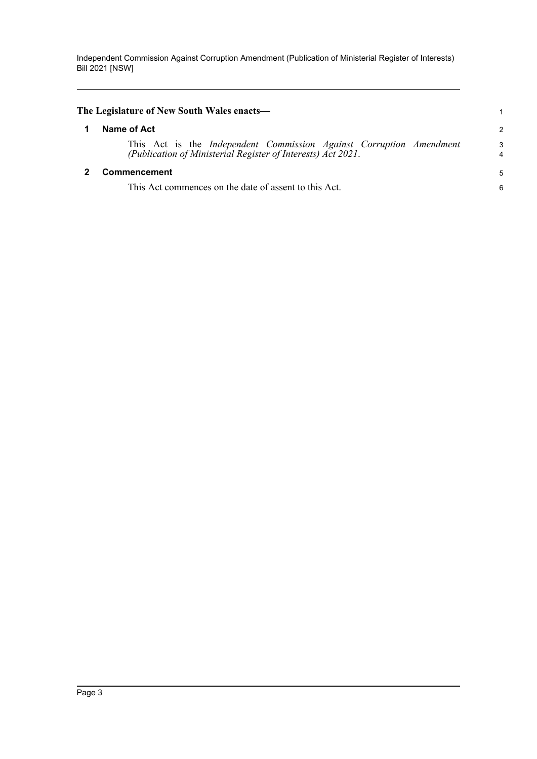Independent Commission Against Corruption Amendment (Publication of Ministerial Register of Interests) Bill 2021 [NSW]

<span id="page-3-1"></span><span id="page-3-0"></span>

| The Legislature of New South Wales enacts—                                                                                          |        |
|-------------------------------------------------------------------------------------------------------------------------------------|--------|
| Name of Act                                                                                                                         | 2      |
| This Act is the Independent Commission Against Corruption Amendment<br>(Publication of Ministerial Register of Interests) Act 2021. | 3<br>4 |
| <b>Commencement</b>                                                                                                                 | 5      |
| This Act commences on the date of assent to this Act.                                                                               | 6      |
|                                                                                                                                     |        |